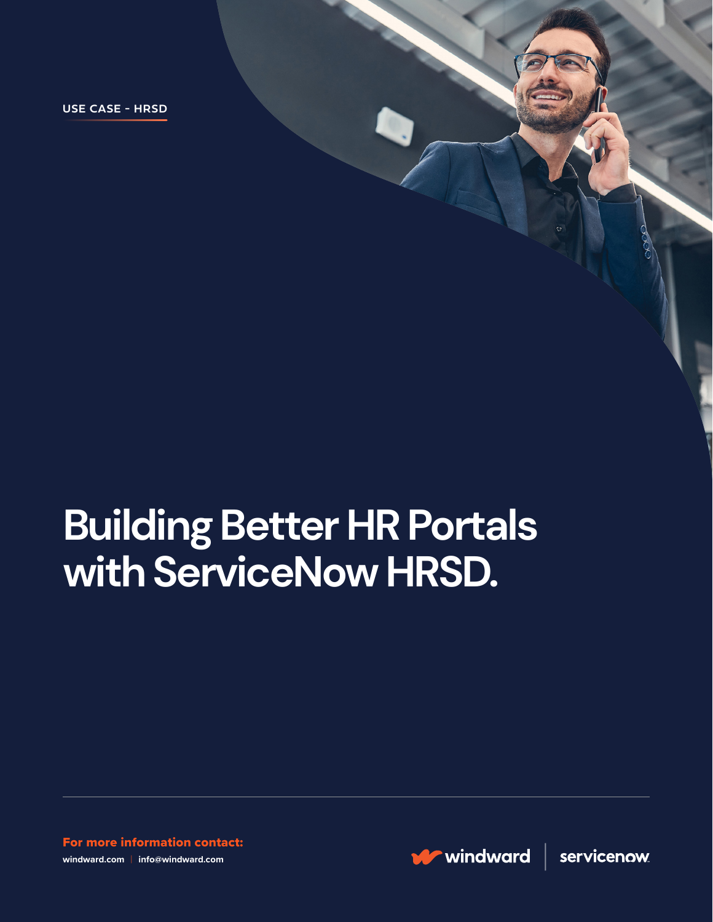**USE CASE - HRSD**

# **Building Better HR Portals with ServiceNow HRSD.**

For more information contact: **windward.com** | **info@windward.com**

windward

servicenow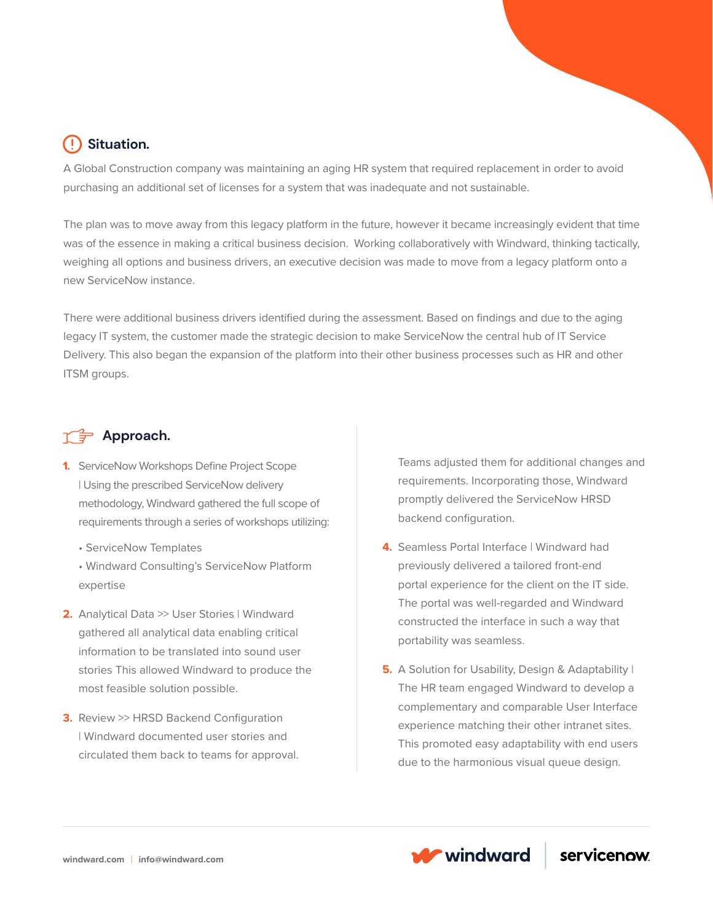### **Situation.**

A Global Construction company was maintaining an aging HR system that required replacement in order to avoid purchasing an additional set of licenses for a system that was inadequate and not sustainable.

The plan was to move away from this legacy platform in the future, however it became increasingly evident that time was of the essence in making a critical business decision. Working collaboratively with Windward, thinking tactically, weighing all options and business drivers, an executive decision was made to move from a legacy platform onto a new ServiceNow instance.

There were additional business drivers identified during the assessment. Based on findings and due to the aging legacy IT system, the customer made the strategic decision to make ServiceNow the central hub of IT Service Delivery. This also began the expansion of the platform into their other business processes such as HR and other ITSM groups.

#### **Approach.**

- **1.** ServiceNow Workshops Define Project Scope | Using the prescribed ServiceNow delivery methodology, Windward gathered the full scope of requirements through a series of workshops utilizing:
	- ServiceNow Templates
	- Windward Consulting's ServiceNow Platform expertise
- **2.** Analytical Data >> User Stories | Windward gathered all analytical data enabling critical information to be translated into sound user stories This allowed Windward to produce the most feasible solution possible.
- **3.** Review >> HRSD Backend Configuration | Windward documented user stories and circulated them back to teams for approval.

Teams adjusted them for additional changes and requirements. Incorporating those, Windward promptly delivered the ServiceNow HRSD backend configuration.

- **4.** Seamless Portal Interface | Windward had previously delivered a tailored front-end portal experience for the client on the IT side. The portal was well-regarded and Windward constructed the interface in such a way that portability was seamless.
- **5.** A Solution for Usability, Design & Adaptability I The HR team engaged Windward to develop a complementary and comparable User Interface experience matching their other intranet sites. This promoted easy adaptability with end users due to the harmonious visual queue design.

**W** windward